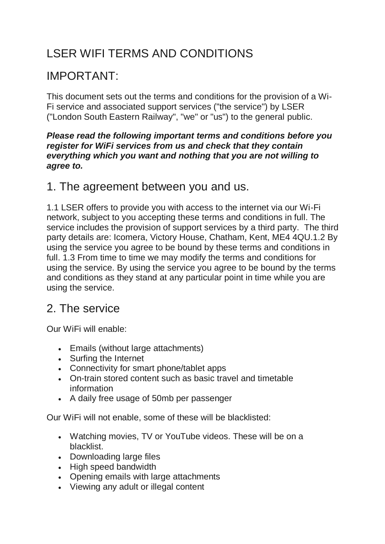## LSER WIFI TERMS AND CONDITIONS

### IMPORTANT:

This document sets out the terms and conditions for the provision of a Wi-Fi service and associated support services ("the service") by LSER ("London South Eastern Railway", "we" or "us") to the general public.

#### *Please read the following important terms and conditions before you register for WiFi services from us and check that they contain everything which you want and nothing that you are not willing to agree to.*

#### 1. The agreement between you and us.

1.1 LSER offers to provide you with access to the internet via our Wi-Fi network, subject to you accepting these terms and conditions in full. The service includes the provision of support services by a third party. The third party details are: Icomera, Victory House, Chatham, Kent, ME4 4QU.1.2 By using the service you agree to be bound by these terms and conditions in full. 1.3 From time to time we may modify the terms and conditions for using the service. By using the service you agree to be bound by the terms and conditions as they stand at any particular point in time while you are using the service.

#### 2. The service

Our WiFi will enable:

- Emails (without large attachments)
- Surfing the Internet
- Connectivity for smart phone/tablet apps
- On-train stored content such as basic travel and timetable information
- A daily free usage of 50mb per passenger

Our WiFi will not enable, some of these will be blacklisted:

- Watching movies, TV or YouTube videos. These will be on a blacklist.
- Downloading large files
- High speed bandwidth
- Opening emails with large attachments
- Viewing any adult or illegal content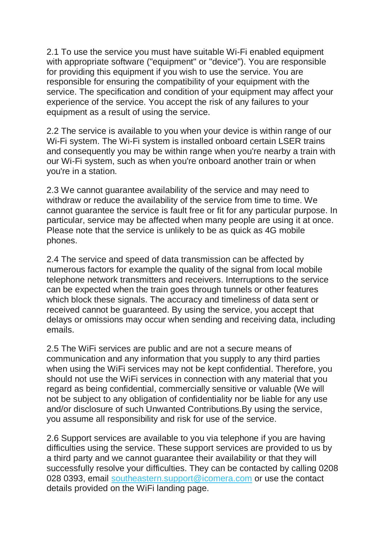2.1 To use the service you must have suitable Wi-Fi enabled equipment with appropriate software ("equipment" or "device"). You are responsible for providing this equipment if you wish to use the service. You are responsible for ensuring the compatibility of your equipment with the service. The specification and condition of your equipment may affect your experience of the service. You accept the risk of any failures to your equipment as a result of using the service.

2.2 The service is available to you when your device is within range of our Wi-Fi system. The Wi-Fi system is installed onboard certain LSER trains and consequently you may be within range when you're nearby a train with our Wi-Fi system, such as when you're onboard another train or when you're in a station.

2.3 We cannot guarantee availability of the service and may need to withdraw or reduce the availability of the service from time to time. We cannot guarantee the service is fault free or fit for any particular purpose. In particular, service may be affected when many people are using it at once. Please note that the service is unlikely to be as quick as 4G mobile phones.

2.4 The service and speed of data transmission can be affected by numerous factors for example the quality of the signal from local mobile telephone network transmitters and receivers. Interruptions to the service can be expected when the train goes through tunnels or other features which block these signals. The accuracy and timeliness of data sent or received cannot be guaranteed. By using the service, you accept that delays or omissions may occur when sending and receiving data, including emails.

2.5 The WiFi services are public and are not a secure means of communication and any information that you supply to any third parties when using the WiFi services may not be kept confidential. Therefore, you should not use the WiFi services in connection with any material that you regard as being confidential, commercially sensitive or valuable (We will not be subject to any obligation of confidentiality nor be liable for any use and/or disclosure of such Unwanted Contributions.By using the service, you assume all responsibility and risk for use of the service.

2.6 Support services are available to you via telephone if you are having difficulties using the service. These support services are provided to us by a third party and we cannot guarantee their availability or that they will successfully resolve your difficulties. They can be contacted by calling 0208 028 0393, email [southeastern.support@icomera.com](mailto:southeastern.support@icomera.com) or use the contact details provided on the WiFi landing page.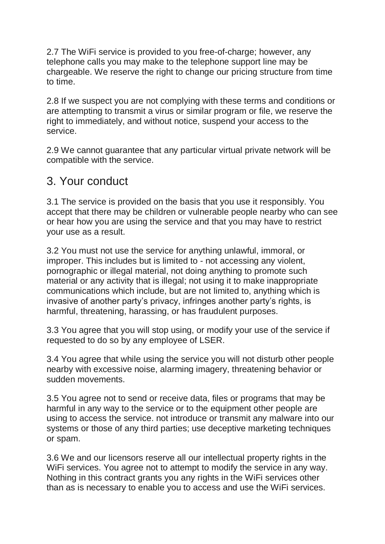2.7 The WiFi service is provided to you free-of-charge; however, any telephone calls you may make to the telephone support line may be chargeable. We reserve the right to change our pricing structure from time to time.

2.8 If we suspect you are not complying with these terms and conditions or are attempting to transmit a virus or similar program or file, we reserve the right to immediately, and without notice, suspend your access to the service.

2.9 We cannot guarantee that any particular virtual private network will be compatible with the service.

#### 3. Your conduct

3.1 The service is provided on the basis that you use it responsibly. You accept that there may be children or vulnerable people nearby who can see or hear how you are using the service and that you may have to restrict your use as a result.

3.2 You must not use the service for anything unlawful, immoral, or improper. This includes but is limited to - not accessing any violent, pornographic or illegal material, not doing anything to promote such material or any activity that is illegal; not using it to make inappropriate communications which include, but are not limited to, anything which is invasive of another party's privacy, infringes another party's rights, is harmful, threatening, harassing, or has fraudulent purposes.

3.3 You agree that you will stop using, or modify your use of the service if requested to do so by any employee of LSER.

3.4 You agree that while using the service you will not disturb other people nearby with excessive noise, alarming imagery, threatening behavior or sudden movements.

3.5 You agree not to send or receive data, files or programs that may be harmful in any way to the service or to the equipment other people are using to access the service. not introduce or transmit any malware into our systems or those of any third parties; use deceptive marketing techniques or spam.

3.6 We and our licensors reserve all our intellectual property rights in the WiFi services. You agree not to attempt to modify the service in any way. Nothing in this contract grants you any rights in the WiFi services other than as is necessary to enable you to access and use the WiFi services.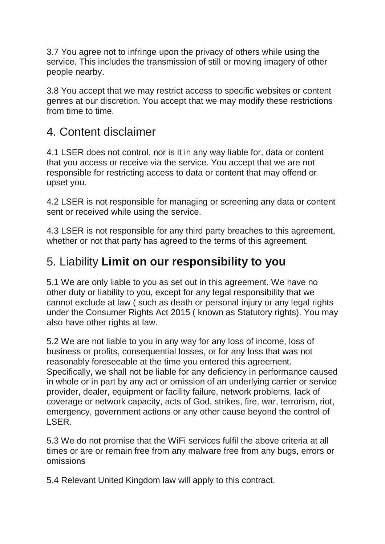3.7 You agree not to infringe upon the privacy of others while using the service. This includes the transmission of still or moving imagery of other people nearby.

3.8 You accept that we may restrict access to specific websites or content genres at our discretion. You accept that we may modify these restrictions from time to time.

#### 4. Content disclaimer

4.1 LSER does not control, nor is it in any way liable for, data or content that you access or receive via the service. You accept that we are not responsible for restricting access to data or content that may offend or upset you.

4.2 LSER is not responsible for managing or screening any data or content sent or received while using the service.

4.3 LSER is not responsible for any third party breaches to this agreement, whether or not that party has agreed to the terms of this agreement.

### 5. Liability **Limit on our responsibility to you**

5.1 We are only liable to you as set out in this agreement. We have no other duty or liability to you, except for any legal responsibility that we cannot exclude at law ( such as death or personal injury or any legal rights under the Consumer Rights Act 2015 ( known as Statutory rights). You may also have other rights at law.

5.2 We are not liable to you in any way for any loss of income, loss of business or profits, consequential losses, or for any loss that was not reasonably foreseeable at the time you entered this agreement. Specifically, we shall not be liable for any deficiency in performance caused in whole or in part by any act or omission of an underlying carrier or service provider, dealer, equipment or facility failure, network problems, lack of coverage or network capacity, acts of God, strikes, fire, war, terrorism, riot, emergency, government actions or any other cause beyond the control of LSER.

5.3 We do not promise that the WiFi services fulfil the above criteria at all times or are or remain free from any malware free from any bugs, errors or omissions

5.4 Relevant United Kingdom law will apply to this contract.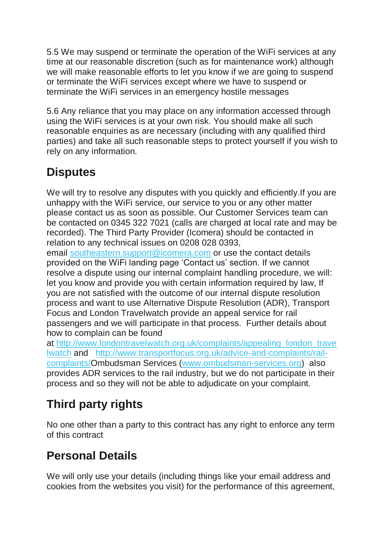5.5 We may suspend or terminate the operation of the WiFi services at any time at our reasonable discretion (such as for maintenance work) although we will make reasonable efforts to let you know if we are going to suspend or terminate the WiFi services except where we have to suspend or terminate the WiFi services in an emergency hostile messages

5.6 Any reliance that you may place on any information accessed through using the WiFi services is at your own risk. You should make all such reasonable enquiries as are necessary (including with any qualified third parties) and take all such reasonable steps to protect yourself if you wish to rely on any information.

## **Disputes**

We will try to resolve any disputes with you quickly and efficiently. If you are unhappy with the WiFi service, our service to you or any other matter please contact us as soon as possible. Our Customer Services team can be contacted on 0345 322 7021 (calls are charged at local rate and may be recorded). The Third Party Provider (Icomera) should be contacted in relation to any technical issues on 0208 028 0393,

email [southeastern.support@icomera.com](mailto:southeastern.support@icomera.com) or use the contact details provided on the WiFi landing page 'Contact us' section. If we cannot resolve a dispute using our internal complaint handling procedure, we will: let you know and provide you with certain information required by law, If you are not satisfied with the outcome of our internal dispute resolution process and want to use Alternative Dispute Resolution (ADR), Transport Focus and London Travelwatch provide an appeal service for rail passengers and we will participate in that process. Further details about how to complain can be found

at [http://www.londontravelwatch.org.uk/complaints/appealing\\_london\\_trave](http://www.londontravelwatch.org.uk/complaints/appealing_london_travelwatch) [lwatch](http://www.londontravelwatch.org.uk/complaints/appealing_london_travelwatch) and [http://www.transportfocus.org.uk/advice-and-complaints/rail](http://www.transportfocus.org.uk/advice-and-complaints/rail-complaints/)[complaints/O](http://www.transportfocus.org.uk/advice-and-complaints/rail-complaints/)mbudsman Services [\(www.ombudsman-services.org\)](http://www.ombudsman-services.org/) also provides ADR services to the rail industry, but we do not participate in their process and so they will not be able to adjudicate on your complaint.

# **Third party rights**

No one other than a party to this contract has any right to enforce any term of this contract

# **Personal Details**

We will only use your details (including things like your email address and cookies from the websites you visit) for the performance of this agreement,